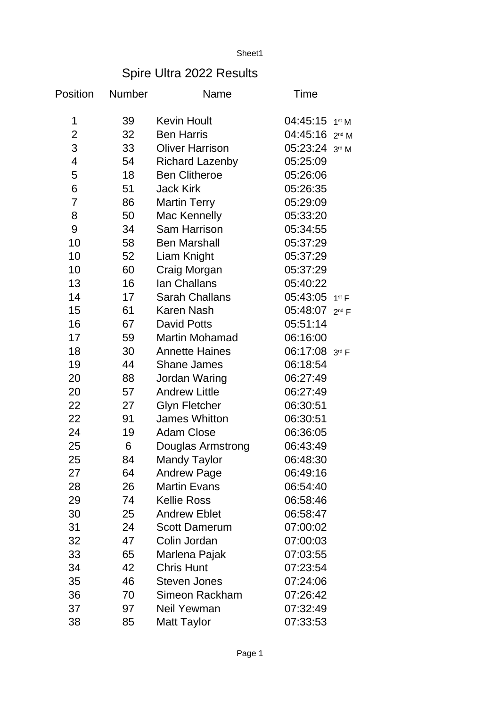Sheet1

## Spire Ultra 2022 Results

| Position       | Number | Name                   | Time                         |  |
|----------------|--------|------------------------|------------------------------|--|
| 1              | 39     | <b>Kevin Hoult</b>     | $04:45:15$ 1st M             |  |
| $\overline{2}$ | 32     | <b>Ben Harris</b>      | $04:45:16$ 2 <sup>nd</sup> M |  |
| 3              | 33     | <b>Oliver Harrison</b> | $05:23:24$ 3rd M             |  |
| 4              | 54     | <b>Richard Lazenby</b> | 05:25:09                     |  |
| 5              | 18     | <b>Ben Clitheroe</b>   | 05:26:06                     |  |
| 6              | 51     | <b>Jack Kirk</b>       | 05:26:35                     |  |
| $\overline{7}$ | 86     | <b>Martin Terry</b>    | 05:29:09                     |  |
| 8              | 50     | Mac Kennelly           | 05:33:20                     |  |
| 9              | 34     | <b>Sam Harrison</b>    | 05:34:55                     |  |
| 10             | 58     | <b>Ben Marshall</b>    | 05:37:29                     |  |
| 10             | 52     | Liam Knight            | 05:37:29                     |  |
| 10             | 60     | Craig Morgan           | 05:37:29                     |  |
| 13             | 16     | Ian Challans           | 05:40:22                     |  |
| 14             | 17     | <b>Sarah Challans</b>  | 05:43:05 1st F               |  |
| 15             | 61     | <b>Karen Nash</b>      | 05:48:07 2nd F               |  |
| 16             | 67     | <b>David Potts</b>     | 05:51:14                     |  |
| 17             | 59     | Martin Mohamad         | 06:16:00                     |  |
| 18             | 30     | <b>Annette Haines</b>  | 06:17:08 3rd F               |  |
| 19             | 44     | <b>Shane James</b>     | 06:18:54                     |  |
| 20             | 88     | Jordan Waring          | 06:27:49                     |  |
| 20             | 57     | <b>Andrew Little</b>   | 06:27:49                     |  |
| 22             | 27     | <b>Glyn Fletcher</b>   | 06:30:51                     |  |
| 22             | 91     | James Whitton          | 06:30:51                     |  |
| 24             | 19     | <b>Adam Close</b>      | 06:36:05                     |  |
| 25             | 6      | Douglas Armstrong      | 06:43:49                     |  |
| 25             | 84     | <b>Mandy Taylor</b>    | 06:48:30                     |  |
| 27             | 64     | <b>Andrew Page</b>     | 06:49:16                     |  |
| 28             | 26     | <b>Martin Evans</b>    | 06:54:40                     |  |
| 29             | 74     | <b>Kellie Ross</b>     | 06:58:46                     |  |
| 30             | 25     | <b>Andrew Eblet</b>    | 06:58:47                     |  |
| 31             | 24     | <b>Scott Damerum</b>   | 07:00:02                     |  |
| 32             | 47     | Colin Jordan           | 07:00:03                     |  |
| 33             | 65     | Marlena Pajak          | 07:03:55                     |  |
| 34             | 42     | <b>Chris Hunt</b>      | 07:23:54                     |  |
| 35             | 46     | <b>Steven Jones</b>    | 07:24:06                     |  |
| 36             | 70     | Simeon Rackham         | 07:26:42                     |  |
| 37             | 97     | Neil Yewman            | 07:32:49                     |  |
| 38             | 85     | <b>Matt Taylor</b>     | 07:33:53                     |  |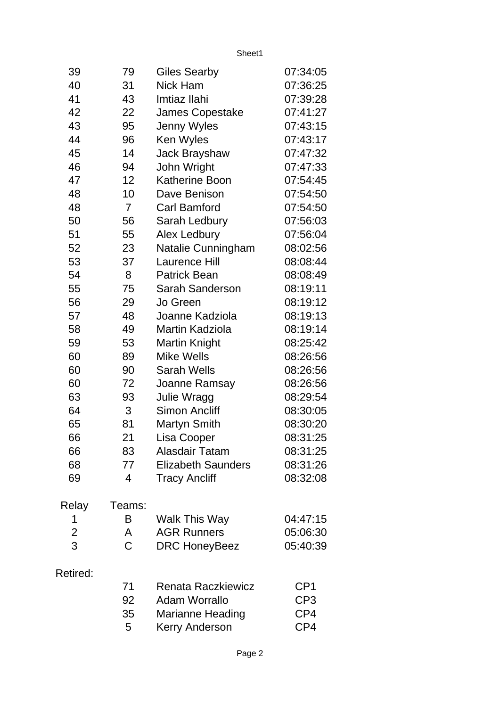Sheet1

| 39             | 79             | <b>Giles Searby</b>       | 07:34:05        |
|----------------|----------------|---------------------------|-----------------|
| 40             | 31             | <b>Nick Ham</b>           | 07:36:25        |
| 41             | 43             | Imtiaz Ilahi              | 07:39:28        |
| 42             | 22             | James Copestake           | 07:41:27        |
| 43             | 95             | Jenny Wyles               | 07:43:15        |
| 44             | 96             | Ken Wyles                 | 07:43:17        |
| 45             | 14             | Jack Brayshaw             | 07:47:32        |
| 46             | 94             | John Wright               | 07:47:33        |
| 47             | 12             | <b>Katherine Boon</b>     | 07:54:45        |
| 48             | 10             | Dave Benison              | 07:54:50        |
| 48             | $\overline{7}$ | <b>Carl Bamford</b>       | 07:54:50        |
| 50             | 56             | Sarah Ledbury             | 07:56:03        |
| 51             | 55             | Alex Ledbury              | 07:56:04        |
| 52             | 23             | Natalie Cunningham        | 08:02:56        |
| 53             | 37             | <b>Laurence Hill</b>      | 08:08:44        |
| 54             | 8              | <b>Patrick Bean</b>       | 08:08:49        |
| 55             | 75             | Sarah Sanderson           | 08:19:11        |
| 56             | 29             | Jo Green                  | 08:19:12        |
| 57             | 48             | Joanne Kadziola           | 08:19:13        |
| 58             | 49             | Martin Kadziola           | 08:19:14        |
| 59             | 53             | <b>Martin Knight</b>      | 08:25:42        |
| 60             | 89             | <b>Mike Wells</b>         | 08:26:56        |
| 60             | 90             | <b>Sarah Wells</b>        | 08:26:56        |
| 60             | 72             | Joanne Ramsay             | 08:26:56        |
| 63             | 93             | Julie Wragg               | 08:29:54        |
| 64             | 3              | <b>Simon Ancliff</b>      | 08:30:05        |
| 65             | 81             | <b>Martyn Smith</b>       | 08:30:20        |
| 66             | 21             | <b>Lisa Cooper</b>        | 08:31:25        |
| 66             | 83             | <b>Alasdair Tatam</b>     | 08:31:25        |
| 68             | 77             | <b>Elizabeth Saunders</b> | 08:31:26        |
| 69             | 4              | <b>Tracy Ancliff</b>      | 08:32:08        |
| Relay          | Teams:         |                           |                 |
| 1              | B              | Walk This Way             | 04:47:15        |
| $\overline{c}$ | A              | <b>AGR Runners</b>        | 05:06:30        |
| 3              | C              | <b>DRC HoneyBeez</b>      | 05:40:39        |
| Retired:       |                |                           |                 |
|                | 71             | Renata Raczkiewicz        | CP1             |
|                | 92             | <b>Adam Worrallo</b>      | CP <sub>3</sub> |
|                | 35             | <b>Marianne Heading</b>   | CP4             |
|                | 5              | <b>Kerry Anderson</b>     | CP4             |